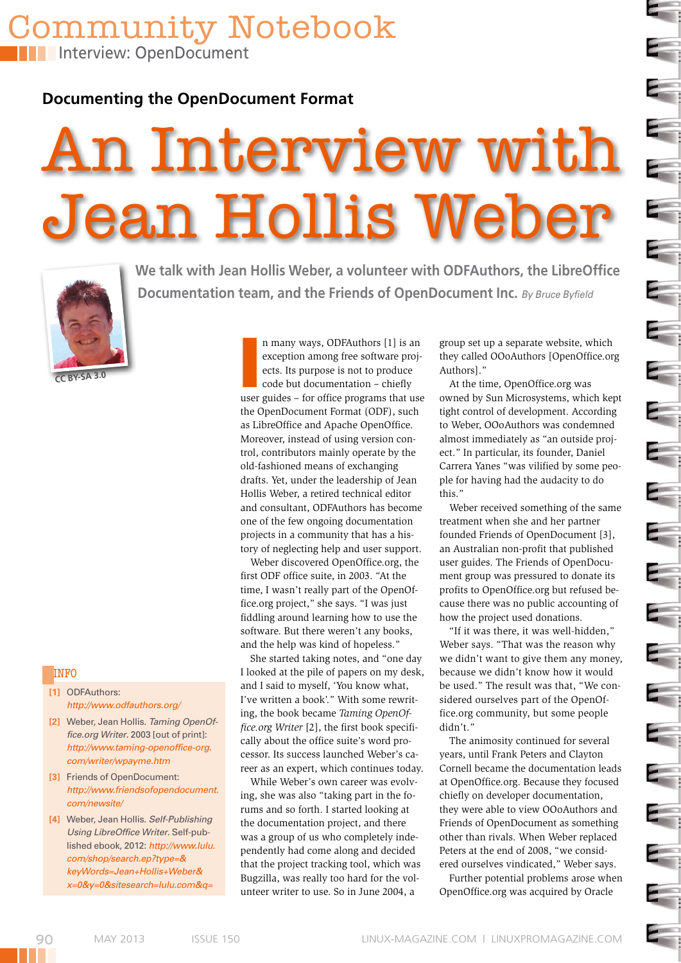**Interview: OpenDocument** 

**Documenting the OpenDocument Format**

Community Notebook

# An Interview with Jean Hollis Weber



**Documentation team, and the Friends of OpenDocument Inc.** *By Bruce Byfield*

**We talk with Jean Hollis Weber, a volunteer with ODFAuthors, the LibreOffice** 

**CC BY-SA 3.0**

#### **INFO**

- **[1]** ODFAuthors: *http://www.odfauthors.org/*
- **[2]** Weber, Jean Hollis. *Taming OpenOf‑ fice.org Writer*. 2003 [out of print]: *http://www.taming‑openoffice‑org. com/writer/wpayme.htm*
- **[3]** Friends of OpenDocument: *http://www.friendsofopendocument. com/newsite/*
- **[4]** Weber, Jean Hollis. *Self-Publishing Using LibreOffice Writer*. Self-published ebook, 2012: *http://www.lulu. com/shop/search.ep?type=& keyWords=Jean+Hollis+Weber& x=0&y=0&sitesearch=lulu.com&q=*

n many ways, ODFAuthors [1] is an<br>exception among free software proj-<br>ects. Its purpose is not to produce<br>code but documentation – chiefly<br>user guides – for office programs that use n many ways, ODFAuthors [1] is an exception among free software projects. Its purpose is not to produce code but documentation – chiefly the OpenDocument Format (ODF), such as LibreOffice and Apache OpenOffice. Moreover, instead of using version control, contributors mainly operate by the old-fashioned means of exchanging drafts. Yet, under the leadership of Jean Hollis Weber, a retired technical editor and consultant, ODFAuthors has become one of the few ongoing documentation projects in a community that has a history of neglecting help and user support.

Weber discovered OpenOffice.org, the first ODF office suite, in 2003. "At the time, I wasn't really part of the OpenOffice.org project," she says. "I was just fiddling around learning how to use the software. But there weren't any books, and the help was kind of hopeless."

She started taking notes, and "one day I looked at the pile of papers on my desk, and I said to myself, 'You know what, I've written a book'." With some rewriting, the book became *Taming OpenOffice.org Writer* [2], the first book specifically about the office suite's word processor. Its success launched Weber's career as an expert, which continues today.

While Weber's own career was evolving, she was also "taking part in the forums and so forth. I started looking at the documentation project, and there was a group of us who completely independently had come along and decided that the project tracking tool, which was Bugzilla, was really too hard for the volunteer writer to use. So in June 2004, a

group set up a separate website, which they called OOoAuthors [OpenOffice.org Authors]."

 $\overline{\phantom{a}}$ 

 $\overline{\phantom{a}}$ 

 $\overline{\phantom{a}}$ 

i.

 $\overline{\mathbb{R}}$ 

 $\epsilon$ 

At the time, OpenOffice.org was owned by Sun Microsystems, which kept tight control of development. According to Weber, OOoAuthors was condemned almost immediately as "an outside project." In particular, its founder, Daniel Carrera Yanes "was vilified by some people for having had the audacity to do this."

Weber received something of the same treatment when she and her partner founded Friends of OpenDocument [3], an Australian non-profit that published user guides. The Friends of OpenDocument group was pressured to donate its profits to OpenOffice.org but refused because there was no public accounting of how the project used donations.

"If it was there, it was well-hidden," Weber says. "That was the reason why we didn't want to give them any money, because we didn't know how it would be used." The result was that, "We considered ourselves part of the OpenOffice.org community, but some people didn't."

The animosity continued for several years, until Frank Peters and Clayton Cornell became the documentation leads at OpenOffice.org. Because they focused chiefly on developer documentation, they were able to view OOoAuthors and Friends of OpenDocument as something other than rivals. When Weber replaced Peters at the end of 2008, "we considered ourselves vindicated," Weber says.

Further potential problems arose when OpenOffice.org was acquired by Oracle